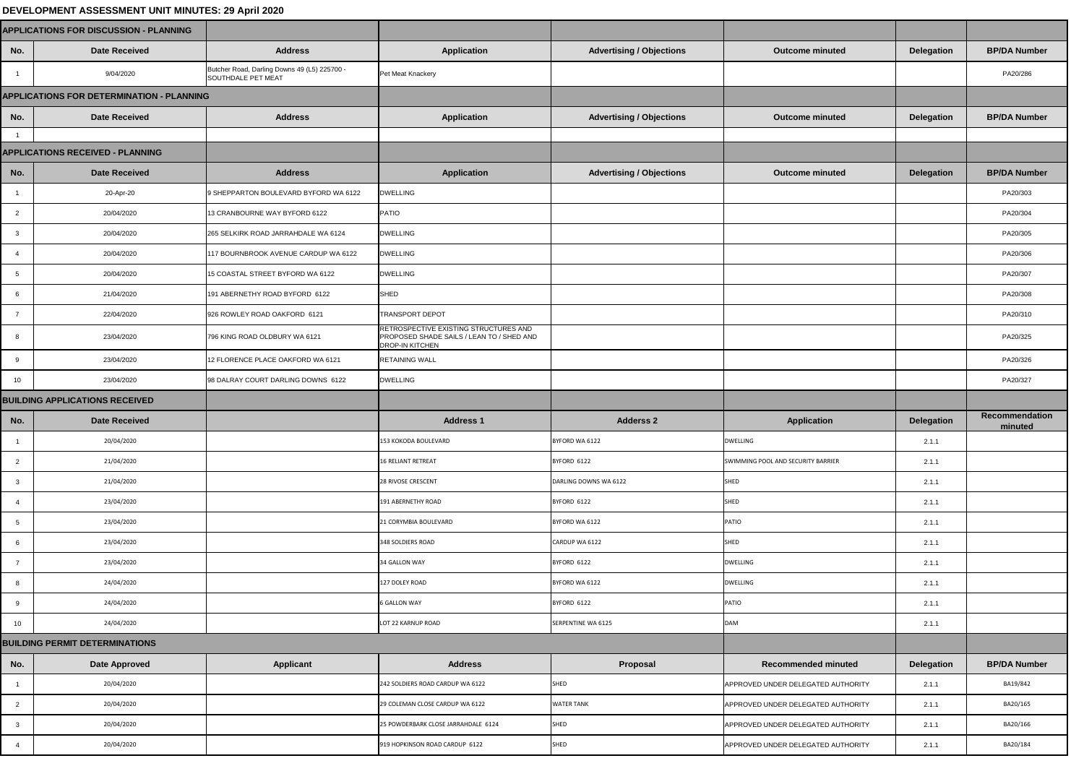## **DEVELOPMENT ASSESSMENT UNIT MINUTES: 29 April 2020**

| <b>APPLICATIONS FOR DISCUSSION - PLANNING</b>    |                                         |                                                                    |                                                                                                              |                                 |                                    |                   |                                  |
|--------------------------------------------------|-----------------------------------------|--------------------------------------------------------------------|--------------------------------------------------------------------------------------------------------------|---------------------------------|------------------------------------|-------------------|----------------------------------|
| No.                                              | <b>Date Received</b>                    | <b>Address</b>                                                     | <b>Application</b>                                                                                           | <b>Advertising / Objections</b> | <b>Outcome minuted</b>             | <b>Delegation</b> | <b>BP/DA Number</b>              |
|                                                  | 9/04/2020                               | Butcher Road, Darling Downs 49 (L5) 225700 -<br>SOUTHDALE PET MEAT | Pet Meat Knackery                                                                                            |                                 |                                    |                   | PA20/286                         |
| <b>APPLICATIONS FOR DETERMINATION - PLANNING</b> |                                         |                                                                    |                                                                                                              |                                 |                                    |                   |                                  |
| No.                                              | <b>Date Received</b>                    | <b>Address</b>                                                     | <b>Application</b>                                                                                           | <b>Advertising / Objections</b> | <b>Outcome minuted</b>             | <b>Delegation</b> | <b>BP/DA Number</b>              |
|                                                  |                                         |                                                                    |                                                                                                              |                                 |                                    |                   |                                  |
|                                                  | <b>APPLICATIONS RECEIVED - PLANNING</b> |                                                                    |                                                                                                              |                                 |                                    |                   |                                  |
| No.                                              | <b>Date Received</b>                    | <b>Address</b>                                                     | <b>Application</b>                                                                                           | <b>Advertising / Objections</b> | <b>Outcome minuted</b>             | <b>Delegation</b> | <b>BP/DA Number</b>              |
|                                                  | 20-Apr-20                               | 9 SHEPPARTON BOULEVARD BYFORD WA 6122                              | <b>DWELLING</b>                                                                                              |                                 |                                    |                   | PA20/303                         |
| 2                                                | 20/04/2020                              | 13 CRANBOURNE WAY BYFORD 6122                                      | <b>PATIO</b>                                                                                                 |                                 |                                    |                   | PA20/304                         |
|                                                  | 20/04/2020                              | 265 SELKIRK ROAD JARRAHDALE WA 6124                                | <b>DWELLING</b>                                                                                              |                                 |                                    |                   | PA20/305                         |
|                                                  | 20/04/2020                              | 117 BOURNBROOK AVENUE CARDUP WA 6122                               | <b>DWELLING</b>                                                                                              |                                 |                                    |                   | PA20/306                         |
|                                                  | 20/04/2020                              | 15 COASTAL STREET BYFORD WA 6122                                   | <b>DWELLING</b>                                                                                              |                                 |                                    |                   | PA20/307                         |
|                                                  | 21/04/2020                              | 191 ABERNETHY ROAD BYFORD 6122                                     | SHED                                                                                                         |                                 |                                    |                   | PA20/308                         |
|                                                  | 22/04/2020                              | 926 ROWLEY ROAD OAKFORD 6121                                       | <b>TRANSPORT DEPOT</b>                                                                                       |                                 |                                    |                   | PA20/310                         |
|                                                  | 23/04/2020                              | 796 KING ROAD OLDBURY WA 6121                                      | RETROSPECTIVE EXISTING STRUCTURES AND<br>PROPOSED SHADE SAILS / LEAN TO / SHED AND<br><b>DROP-IN KITCHEN</b> |                                 |                                    |                   | PA20/325                         |
|                                                  | 23/04/2020                              | 12 FLORENCE PLACE OAKFORD WA 6121                                  | <b>RETAINING WALL</b>                                                                                        |                                 |                                    |                   | PA20/326                         |
| 10                                               | 23/04/2020                              | 98 DALRAY COURT DARLING DOWNS 6122                                 | <b>DWELLING</b>                                                                                              |                                 |                                    |                   | PA20/327                         |
| <b>BUILDING APPLICATIONS RECEIVED</b>            |                                         |                                                                    |                                                                                                              |                                 |                                    |                   |                                  |
| No.                                              | <b>Date Received</b>                    |                                                                    | <b>Address 1</b>                                                                                             | <b>Adderss 2</b>                | <b>Application</b>                 | <b>Delegation</b> | <b>Recommendation</b><br>minuted |
|                                                  | 20/04/2020                              |                                                                    | 153 KOKODA BOULEVARD                                                                                         | BYFORD WA 6122                  | <b>DWELLING</b>                    | 2.1.1             |                                  |
| $\overline{2}$                                   | 21/04/2020                              |                                                                    | <b>16 RELIANT RETREAT</b>                                                                                    | BYFORD 6122                     | SWIMMING POOL AND SECURITY BARRIER | 2.1.1             |                                  |
|                                                  | 21/04/2020                              |                                                                    | 28 RIVOSE CRESCENT                                                                                           | DARLING DOWNS WA 6122           | <b>SHED</b>                        | 2.1.1             |                                  |
|                                                  | 23/04/2020                              |                                                                    | 191 ABERNETHY ROAD                                                                                           | BYFORD 6122                     | <b>SHED</b>                        | 2.1.1             |                                  |
|                                                  | 23/04/2020                              |                                                                    | 21 CORYMBIA BOULEVARD                                                                                        | BYFORD WA 6122                  | PATIO                              | 2.1.1             |                                  |
|                                                  | 23/04/2020                              |                                                                    | 348 SOLDIERS ROAD                                                                                            | CARDUP WA 6122                  | SHED                               | 2.1.1             |                                  |
|                                                  | 23/04/2020                              |                                                                    | 34 GALLON WAY                                                                                                | BYFORD 6122                     | <b>DWELLING</b>                    | 2.1.1             |                                  |
| 8                                                | 24/04/2020                              |                                                                    | 127 DOLEY ROAD                                                                                               | BYFORD WA 6122                  | <b>DWELLING</b>                    | 2.1.1             |                                  |
|                                                  | 24/04/2020                              |                                                                    | <b>6 GALLON WAY</b>                                                                                          | BYFORD 6122                     | <b>PATIO</b>                       | 2.1.1             |                                  |
| 10                                               | 24/04/2020                              |                                                                    | LOT 22 KARNUP ROAD                                                                                           | SERPENTINE WA 6125              | <b>DAM</b>                         | 2.1.1             |                                  |
| <b>BUILDING PERMIT DETERMINATIONS</b>            |                                         |                                                                    |                                                                                                              |                                 |                                    |                   |                                  |
| No.                                              | <b>Date Approved</b>                    | <b>Applicant</b>                                                   | <b>Address</b>                                                                                               | <b>Proposal</b>                 | <b>Recommended minuted</b>         | <b>Delegation</b> | <b>BP/DA Number</b>              |
|                                                  | 20/04/2020                              |                                                                    | 242 SOLDIERS ROAD CARDUP WA 6122                                                                             | <b>SHED</b>                     | APPROVED UNDER DELEGATED AUTHORITY | 2.1.1             | BA19/842                         |
| $\overline{2}$                                   | 20/04/2020                              |                                                                    | 29 COLEMAN CLOSE CARDUP WA 6122                                                                              | <b>WATER TANK</b>               | APPROVED UNDER DELEGATED AUTHORITY | 2.1.1             | BA20/165                         |
| -3                                               | 20/04/2020                              |                                                                    | 25 POWDERBARK CLOSE JARRAHDALE 6124                                                                          | <b>SHED</b>                     | APPROVED UNDER DELEGATED AUTHORITY | 2.1.1             | BA20/166                         |
|                                                  |                                         |                                                                    |                                                                                                              |                                 |                                    |                   |                                  |

|                         | <b>APPLICATIONS FOR DISCUSSION - PLANNING</b>    |                                                                    |                                                                                                              |                                 |                                    |                   |                                  |
|-------------------------|--------------------------------------------------|--------------------------------------------------------------------|--------------------------------------------------------------------------------------------------------------|---------------------------------|------------------------------------|-------------------|----------------------------------|
| No.                     | <b>Date Received</b>                             | <b>Address</b>                                                     | <b>Application</b>                                                                                           | <b>Advertising / Objections</b> | <b>Outcome minuted</b>             | <b>Delegation</b> | <b>BP/DA Number</b>              |
|                         | 9/04/2020                                        | Butcher Road, Darling Downs 49 (L5) 225700 -<br>SOUTHDALE PET MEAT | Pet Meat Knackery                                                                                            |                                 |                                    |                   | PA20/286                         |
|                         | <b>APPLICATIONS FOR DETERMINATION - PLANNING</b> |                                                                    |                                                                                                              |                                 |                                    |                   |                                  |
| No.                     | <b>Date Received</b>                             | <b>Address</b>                                                     | <b>Application</b>                                                                                           | <b>Advertising / Objections</b> | <b>Outcome minuted</b>             | <b>Delegation</b> | <b>BP/DA Number</b>              |
|                         |                                                  |                                                                    |                                                                                                              |                                 |                                    |                   |                                  |
|                         | <b>APPLICATIONS RECEIVED - PLANNING</b>          |                                                                    |                                                                                                              |                                 |                                    |                   |                                  |
| No.                     | <b>Date Received</b>                             | <b>Address</b>                                                     | <b>Application</b>                                                                                           | <b>Advertising / Objections</b> | <b>Outcome minuted</b>             | <b>Delegation</b> | <b>BP/DA Number</b>              |
|                         | 20-Apr-20                                        | 9 SHEPPARTON BOULEVARD BYFORD WA 6122                              | <b>DWELLING</b>                                                                                              |                                 |                                    |                   | PA20/303                         |
| $\overline{2}$          | 20/04/2020                                       | 13 CRANBOURNE WAY BYFORD 6122                                      | <b>PATIO</b>                                                                                                 |                                 |                                    |                   | PA20/304                         |
| $\overline{\mathbf{3}}$ | 20/04/2020                                       | 265 SELKIRK ROAD JARRAHDALE WA 6124                                | <b>DWELLING</b>                                                                                              |                                 |                                    |                   | PA20/305                         |
|                         | 20/04/2020                                       | 117 BOURNBROOK AVENUE CARDUP WA 6122                               | <b>DWELLING</b>                                                                                              |                                 |                                    |                   | PA20/306                         |
| - 5                     | 20/04/2020                                       | 15 COASTAL STREET BYFORD WA 6122                                   | <b>DWELLING</b>                                                                                              |                                 |                                    |                   | PA20/307                         |
|                         | 21/04/2020                                       | 191 ABERNETHY ROAD BYFORD 6122                                     | SHED                                                                                                         |                                 |                                    |                   | PA20/308                         |
|                         | 22/04/2020                                       | 926 ROWLEY ROAD OAKFORD 6121                                       | <b>TRANSPORT DEPOT</b>                                                                                       |                                 |                                    |                   | PA20/310                         |
|                         | 23/04/2020                                       | 796 KING ROAD OLDBURY WA 6121                                      | RETROSPECTIVE EXISTING STRUCTURES AND<br>PROPOSED SHADE SAILS / LEAN TO / SHED AND<br><b>DROP-IN KITCHEN</b> |                                 |                                    |                   | PA20/325                         |
|                         | 23/04/2020                                       | 12 FLORENCE PLACE OAKFORD WA 6121                                  | <b>RETAINING WALL</b>                                                                                        |                                 |                                    |                   | PA20/326                         |
| 10                      | 23/04/2020                                       | 98 DALRAY COURT DARLING DOWNS 6122                                 | <b>DWELLING</b>                                                                                              |                                 |                                    |                   | PA20/327                         |
|                         |                                                  |                                                                    |                                                                                                              |                                 |                                    |                   |                                  |
|                         | <b>BUILDING APPLICATIONS RECEIVED</b>            |                                                                    |                                                                                                              |                                 |                                    |                   |                                  |
| No.                     | <b>Date Received</b>                             |                                                                    | <b>Address 1</b>                                                                                             | <b>Adderss 2</b>                | <b>Application</b>                 | <b>Delegation</b> | <b>Recommendation</b><br>minuted |
|                         | 20/04/2020                                       |                                                                    | 153 KOKODA BOULEVARD                                                                                         | BYFORD WA 6122                  | <b>DWELLING</b>                    | 2.1.1             |                                  |
| $\overline{2}$          | 21/04/2020                                       |                                                                    | <b>16 RELIANT RETREAT</b>                                                                                    | BYFORD 6122                     | SWIMMING POOL AND SECURITY BARRIER | 2.1.1             |                                  |
| $\mathbf{3}$            | 21/04/2020                                       |                                                                    | 28 RIVOSE CRESCENT                                                                                           | DARLING DOWNS WA 6122           | <b>SHED</b>                        | 2.1.1             |                                  |
|                         | 23/04/2020                                       |                                                                    | 191 ABERNETHY ROAD                                                                                           | BYFORD 6122                     | <b>SHED</b>                        | 2.1.1             |                                  |
| 5                       | 23/04/2020                                       |                                                                    | 21 CORYMBIA BOULEVARD                                                                                        | BYFORD WA 6122                  | PATIO                              | 2.1.1             |                                  |
| 6                       | 23/04/2020                                       |                                                                    | 348 SOLDIERS ROAD                                                                                            | CARDUP WA 6122                  | SHED                               | 2.1.1             |                                  |
|                         | 23/04/2020                                       |                                                                    | 34 GALLON WAY                                                                                                | BYFORD 6122                     | <b>DWELLING</b>                    | 2.1.1             |                                  |
| 8                       | 24/04/2020                                       |                                                                    | 127 DOLEY ROAD                                                                                               | BYFORD WA 6122                  | <b>DWELLING</b>                    | 2.1.1             |                                  |
| 9                       | 24/04/2020                                       |                                                                    | <b>6 GALLON WAY</b>                                                                                          | BYFORD 6122                     | PATIO                              | 2.1.1             |                                  |
| 10 <sup>°</sup>         | 24/04/2020                                       |                                                                    | LOT 22 KARNUP ROAD                                                                                           | SERPENTINE WA 6125              | <b>DAM</b>                         | 2.1.1             |                                  |
|                         | <b>BUILDING PERMIT DETERMINATIONS</b>            |                                                                    |                                                                                                              |                                 |                                    |                   |                                  |
| No.                     | <b>Date Approved</b>                             | <b>Applicant</b>                                                   | <b>Address</b>                                                                                               | Proposal                        | <b>Recommended minuted</b>         | <b>Delegation</b> | <b>BP/DA Number</b>              |
|                         | 20/04/2020                                       |                                                                    | 242 SOLDIERS ROAD CARDUP WA 6122                                                                             | <b>SHED</b>                     | APPROVED UNDER DELEGATED AUTHORITY | 2.1.1             | BA19/842                         |
| $\overline{2}$          | 20/04/2020                                       |                                                                    | 29 COLEMAN CLOSE CARDUP WA 6122                                                                              | <b>WATER TANK</b>               | APPROVED UNDER DELEGATED AUTHORITY | 2.1.1             | BA20/165                         |
| $\mathbf{3}$            | 20/04/2020                                       |                                                                    | 25 POWDERBARK CLOSE JARRAHDALE 6124                                                                          | SHED                            | APPROVED UNDER DELEGATED AUTHORITY | 2.1.1             | BA20/166                         |